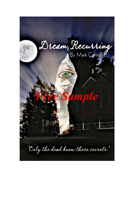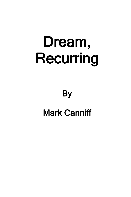## Dream, Recurring

## **By** Mark Canniff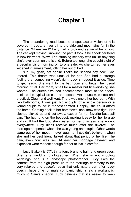## Chapter 1

The meandering road became a spectacular vision of hills covered in trees, a river off to the side and mountains far in the distance. Where am I? Lucy had a profound sense of being lost. The car kept moving, knowing the path it took. She shook her head in bewilderment. Wow. The stunning scenery was unlike anything she'd ever seen on the island. Before too long, she caught sight of a peculiar vision forming off to one side. As she turned her eyes widened in amazement, jolting her out of bed.

'Oh, my gosh, not again! That's the second day now!' She uttered. This dream was unusual for her. She had a strange feeling that something wasn't right. Lucy shrugged it aside. Time to get ready. She went to the bathroom and began her usual morning ritual. Her room, small for a master but fit everything she wanted. The queen-size bed encompassed most of the space, besides the typical dresser and closet. Her house was cute and practical. Clean and well kept. There was one other bedroom. With two bathrooms, it was just big enough for a single person or a young couple to live in modest comfort. Happily, she could afford the home. Coming back to her hometown, she knew was right. Her clothes picked up and put away, except for her favorite baseball cap. The hat hung on the bedpost, making it easy for her to grab and go. It had the logo she created for her business, she wore it everywhere. Lucy didn't receive much after the divorce. The marriage happened when she was young and stupid. Other words came out of her mouth, never again or I couldn't believe it when she and her best friend talked about that period of her life. The pain, even now, was raw. At least her mortgage payment and expenses were modest enough for her to live in comfort.

Lucy Blakely is 5'7", thirty-four, brunette hair, and green eyes. She is a wedding photographer. When she is not shooting weddings, she is a landscape photographer. Lucy likes the contrast from the high pressure of the marriage ceremony to the very relaxed and peaceful pace that only nature can offer. Lucy doesn't have time for male companionship; she's a workaholic, much to Sam's chagrin. Lucy believes that it's easier to keep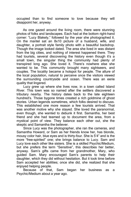occupied than to find someone to love because they will disappoint her, anyway.

As one gazed around the living room, there were stunning photos of folks and landscapes. Each had at the bottom right-hand corner: "Lucy Blakely," followed by the year she photographed it. On the mantel sat an 8x10 picture of a husband, wife, and daughter, a portrait style family photo with a beautiful backdrop. Though the image looked dated. The area she lived in was distant from the big cities, and nothing of interest happened there. They had tourists, several discovering the history even though it's a small town, the singular thing the community had plenty of transpired long ago. She loved it. There's nowhere else she wanted to be. This community brought many sightseers, and couples. The locality became a hotspot for people. The allure of the local population, natural to perceive once the visitors viewed the surrounding countryside and ocean. There was an eerie quality that lingered.

Lucy grew up where she lives now, in a town called Island River. This town was so named after the settlers discovered a tributary nearby. The history dates back to the late eighteen hundred's. Those bygone times created a rich goldmine of ghost stories. Urban legends sometimes, which folks desired to discuss. This established one more reason a few tourists arrived. That was another motive why she stayed. She loved the paranormal, even though, she wanted to debunk it first. Samantha, her best friend and she had teamed up to document the area, from a mystical point of view. They balance each other out, she the skeptic and Samantha the believer.

Since Lucy was the photographer, she ran the cameras, and Samantha Howard, or Sam as her friends know her, has blonde, mousy color hair, blue eyes and is thirty-four. She is 5'4" and is the more "free-spirited" one; she brings balance to Lucy. Sam and Lucy love each other like sisters. She is a skilled Psychic/Medium, but she prefers the term "Sensitive", this describes her better, anyway. Sam's gifts came from her grandmother, Mary, who guided Sam. Mary encouraged Sam's parents to help their daughter, which they did without hesitation. But it took time before Sam accepted her abilities; once she did, she realized that she enjoyed helping people.

Because of that, Sam began her business as a Psychic/Medium about a year ago.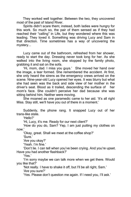They worked well together. Between the two, they uncovered most of the past of Island River.

Spirits didn't scare them; instead, both ladies were hungry for this work. So much so, the pair of them sensed as if they had reached their "calling" in Life, but they wondered where this was leading. They loved it. Something was driving Lucy and Sam in that direction. Time sometimes has a way of uncovering the mystery...

Lucy came out of the bathroom, refreshed from her shower, ready to start the day. Dressing never took long for her. As she walked into the living room, she stopped by the family photo, grabbing it and sat on the sofa.

'Hi, mom, dad. I miss you guys.' She moved her hand over the image, a tear formed. She remembered the accident. At first, she only heard the sirens as the emergency crews arrived on the scene. Nine-year-old Lucy opened her eyes. It was blurry but what she had seen was the back and side view of her mother in the driver's seat. Blood as it trailed, descending the surface of her mom's face. She couldn't perceive her dad because she was sitting behind him. Neither were moving.

She moaned as one paramedic came to her aid. 'It's all right Miss. Stay still, we'll have you out of there in a moment.'

Suddenly, the phone rang. It snapped Lucy out of her trans-like state.

'Hello?'

'Hi, Lucy, it's me. Ready for our next client?'

'How do you do, Sam? Yep, I am just putting my clothes on now.'

'Okay, great. Shall we meet at the coffee shop?'

'Sure.'

'Are you okay?'

'Yeah. I'm fine.'

'Don't lie. I can tell when you've been crying. And you're upset. Have you had another flashback?'

'Yes.'

'I'm sorry maybe we can talk more when we get there. Would you like that?'

'Not really. I have to shake it off, but I'll be all right, Sam.' 'Are you sure?'

'Yes. Please don't question me again. If I need you, I'll ask.'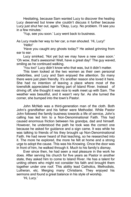Hesitating, because Sam wanted Lucy to discover the healing Lucy deserved but knew she couldn't discuss it further because Lucy just shut her out, again. 'Okay, Lucy. No problem. I'll see you in a few minutes.'

'Yup, see you soon.' Lucy went back to business.

As Lucy made her way to her car, a man shouted. 'Hi, Lucy!'

'Hello!'

'Have you caught any ghosts today?' He asked grinning from ear to ear.

Lucy smirked, 'Not yet but we may have a new case soon.' 'Oh wow, that's awesome! Well, have a great day!' The guy waved, smiling as he continued walking.

'You too!' Lucy didn't know who that was, but it didn't matter.

This town looked at the two women as their own personal celebrities, and Lucy and Sam enjoyed the attention. So many there were just plain friendly. It's another reason she loved it here. She had no intention of leaving a place where most of the townsfolk appreciated her being part of Island River. Instead of driving off, she thought it was nice to walk meet up with Sam. The weather was beautiful, and it wasn't very far. As she turned the corner, she bumped into the town's Pastor.

John McNab was a third-generation man of the cloth. Both John's grandfather and his father were Methodist. While Pastor John followed the family business towards a life of service, John's calling has led him to a Non-Denominational Faith. This had caused enormous friction between his grandpa, dad and himself. However, he understood the path he took was the correct one because he asked for guidance and a sign came. It was while he was talking to friends of his they brought up Non-Denominational Faith. He had never heard of that teaching, so he researched into it. The more he explored, the more he felt at home and a strong urge to adopt the cause. This was his Knowing. Once the door was in front of him, he walked through it. Much to his family's dismay.

Ever since then, he had seen a real pleasure in the work he does. After serving his church for five years as Pastor in another state, they asked him to come to Island River. He has a talent for uniting others who might not consider his faith and brought them together under one roof. This ability lead Catholics, Methodists, Lutheran, etc. Merging many Christians. They enjoyed his sermons and found a great balance in his style of worship.

'Hi, Lucy.'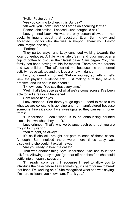'Hello, Pastor John.'

'Are you coming to church this Sunday?'

'Ah well, you know, God and I aren't on speaking terms.'

Pastor John smiled. 'I noticed. Just thought I'd ask.'

Lucy grinned back. He was the only person allowed, in her book, to inquire about that question. Even Sam knew and accepted Lucy for who she was. A skeptic. 'Thank you, Pastor John. Maybe one day.'

'Perhaps.'

They parted ways, and Lucy continued walking towards the local coffeehouse. A little while later, Sam and Lucy met over a cup of coffee to discuss their latest case. Sam began. 'So, this family has been having trouble for months. There are the parents and two children. The wife called me because the paranormal activity has escalated and the kids are now in danger.'

Lucy pondered a moment.'Before you say something, let's view the physical evidence first. Just making sure they have a problem, and it's not "in their head."'

'I know, Lucy. You say that every time.'

'Well, that's because as of what we've come across. I've been able to find a reason it happened.'

Sam rolled her eyes.

Lucy snapped. 'See there you go again. I need to make sure what we are collecting is genuine and not manufactured because someone thinks it's cool if we investigate so they can earn money from it.'

'I understand. I don't want us to be announcing haunted places in town when they aren't.'

Lucy grinned. 'That's why we balance each other out you are my yin to my yang.'

'You're right, as always.'

It's as if she still brought her past to each of these cases. Although, Sam noticed there were more times Lucy was discovering she couldn't explain away.

'Are you ready to hear the case?'

That was another thing Sam understood. She had to let her talk first. Allowing Lucy to just "get that off her chest" so she could settle into an open discussion.

'I'm ready, sorry Sam. I recognize I need to allow you to introduce the case before I say something, it's hard for me to break that habit. I'm working on it.' She recognized what she was saying. 'I'm here to listen, you know I am. Thank you.'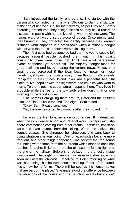Sam introduced the family, one by one. She started with the person who contacted her, the wife. Obvious to Sam that Liz was at the end of her rope. So, for their privacy, as per Lucy and Sam's operating procedures, they assign aliases so they could record or discuss it in public with no one knowing who the clients were. The names were on was a scrap piece of paper. Once memorized, they burned it. They protected the identity because they learned firsthand what happens in a small town when a minority caught wind of who the real characters were ridiculing them.

Their first case had become so bad that the young couple left because several people pushed them out. In this quaint community, there were those that didn't care what paranormal events happened, yet others did. The majority thought made for great business and loved hearing the current news. However, a small group perceived if the town became known for these hauntings, it'll push the tourists away. Even though that's already transpired. In their minds, Island River was a peaceful, beautiful place to live, popular with the sightseers and couples who want to marry. To them, nothing supernatural happens there. They lived in a bubble while the rest of the townsfolk either don't mind or love listening to the latest stories.

'The names I am giving them are Liz, Peter and the children Luke and Tina. Luke is ten and Tina eight.' Sam stated.

'Okay, Sam. Please continue.'

'So, the events started two months after they moved in...'

Liz was the first to experience occurrences. It materialized when the kids were at school and Peter at work. To begin with, she heard commotions coming from other rooms. Footsteps, knock on walls and even thumps from the ceiling. When she looked, the sounds ceased. She shrugged her shoulders and went back to doing whatever she was doing. Over time, episodes became more frequent, and other things happened. She noticed that the sound of running water came from the bathroom which stopped once she reached it. Lights flickered, then she glimpsed a female figure at the end of the hallway. Before she realized it, the ghostly image disappeared. That sighting meant an increase in instances, which soon included the children. Liz talked to Peter referring to what was happening, but he experienced nothing. Peter often stated, "It's a new home for us. There will be sounds the house makes that are part of the place." She understood the difference between the vibrations of the house and the haunting events but couldn't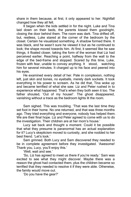share in them because, at first, it only appeared to her. Nightfall changed how they all felt.

It began when the kids settled in for the night. Luke and Tina laid down on their beds, the parents kissed them goodnight, closing the door behind them. The room was dark. Tina drifted off, but, restless, Luke stared at the corner of the bedroom by the closet. Certain he visualized something. A shadow formed there. It was black, and he wasn't sure he viewed it but as he continued to look; the shape moved towards him. At first, it seemed like he saw things, it floated closer, taking the form of the woman that Liz had perceived earlier. Reaching a point, halfway from the wall to the edge of the bed-frame and stopped. Scared by this time, Luke, frozen with fear, unable to convey anything. It stood, watching him for several minutes. It charged up to his face and peered into his eyes.

He examined every detail of her. Pale in complexion, nothing left, just skin and bones, no eyeballs, merely dark sockets. It took everything in his power to scream. As he did that, Tina woke up and became terrified of what she saw. Liz and Peter rushed in to experience what happened. That's when they both seen it too. The father shouted, 'Out of my house!'. The ghost disappeared, vanishing without a trace as the bedroom lights lit the room.

Sam sighed. This was troubling. 'That was the last time they set foot in their home. No one returned, and that was three months ago. They tried everything and everyone, nobody has helped them. We are their final hope. Liz and Peter agreed to come with us to do the investigation. Their children are at her mom's house.'

Lucy sat back and thought a moment. Could it be possible that what they presume is paranormal has an actual explanation for it? Lucy's skepticism moved to curiosity, and she nodded to her best friend. 'Let's look.'

Sam grinned. Both Lucy and Sam discovered they needed to be in complete agreement before they investigated. 'Awesome! Thank you, Lucy, you'll enjoy this.'

'Well, wait and see.'

'So, Liz has agreed to meet us there if you're ready.' Sam was excited to see what they might discover. Maybe there was a reason the ghost had contacted them, plus the children became so terrified that they needed to resolve it if they were able. Otherwise, the family would move out.

'Do you have the gear?'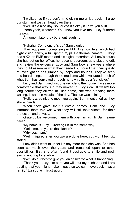'I walked, so if you don't mind giving me a ride back, I'll grab our stuff, and we can head over there.'

'Well, it's a nice day, so I guess it's okay if I give you a lift.'

'Yeah yeah, whatever! You know you love me.' Lucy fluttered her eyes.

A moment later they burst out laughing.

'Hahaha. Come on, let's go.' Sam giggled.

Their equipment comprising eight HD camcorders, which had night vision ability, a full spectrum, plus a thermal camera. They had a K2, an EMF meter, and six digital recorders. At Lucy's house, she had set up her office, her second bedroom, as a place to edit and review the evidence. Lucy and Sam took a few years where they could assemble what they needed but found that their quality of investigation has jumped by leaps and bounds. They've seen and heard things through those mediums which validated much of what Sam has conveyed through her own gifts as a "sensitive."

Lucy and Sam used just one vehicle to the house, it was more comfortable that way. So they moved to Lucy's car. It wasn't too long before they arrived at Liz's home, she was standing there waiting. It was the middle of the day. The sun was shining.

'Hello Liz, so nice to meet you again.' Sam mentioned as they shook hands.

When they gave their clientele names, Sam and Lucy informed them this was what they will call their clients, for their protection and privacy.

Grateful, Liz welcomed them with open arms.'Hi, Sam, same here.'

'My name is Lucy.' Greeting Liz in the same way.

'Welcome, so you're the skeptic?'

'Why yes, I am.'

'Well, I figured after you two are done here, you won't be.' Liz stated.

Lucy didn't want to upset Liz any more than she was. She has seen so much over the years and remained open to other possibilities; first, she often found it desirable to smile and nod, saying nothing for a while.

'We'll do our best to give you an answer to what is happening.'

'Thank you, Lucy, I'm sure you will, but my husband and I are trusting that you might make it leave so we can move back in as a family.' Liz spoke in frustration.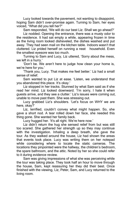Lucy looked towards the pavement, not wanting to disappoint, hoping Sam didn't over-promise again. Turning to Sam, her eyes voiced, "What did you tell her?"

Sam responded, 'We will do our best Liz. Shall we go ahead?' Liz nodded. Opening the entrance, there was a musty odor to the residence. It had sat empty a while, appearing frozen in time as the living room looked disheveled, the dishes washed and put away. They had seen mail on the kitchen table. Indoors wasn't that cluttered. Liz prided herself on running a neat household. Even the smallest eyesore was too much.

Turning to Sam and Lucy, Liz uttered, 'Sorry about the mess, we left in a hurry.'

'Don't be. We aren't here to judge how clean your home is, we're here for you.'

'Thank you, Lucy. That makes me feel better.' Liz had a small sense of relief.

Sam wanted to put Liz at ease. 'Listen, we understand that you abandoned this place. It's okay.'

Liz stopped in her tracks. Stunned by what Sam said as if she read her mind. Liz looked downward. 'I'm sorry, I hate it when guests arrive, and they see a clutter.' Liz's issues were coming out, unable to move past them. She was stressing out.

Lucy grabbed Liz's shoulders. 'Let's focus on WHY we are here, okay?'

Liz, terrified, couldn't convey what might happen. So, she gave a short nod. A tear rolled down her face, she needed this thing gone. She wanted her family back.

Lucy hugged her. 'It's all right. We're here now.'

Liz didn't return the hug she sensed relief from but was still too scared. She gathered her strength up so they may continue with the investigation. Inhaling a deep breath, she gave the tour. As they walked around the house, Liz had shown the areas that events took place. Lucy was writing them on her notepad while considering where to locate the static cameras. The locations they pinpointed were the hallway, the children's bedroom, the spare bathroom, and the attic. Noted by her so she could refer to it during evidence review.

Sam was giving impressions of what she was perceiving while the tour was taking place. They took half an hour to move through the house, Sam, kept reassuring her they did their best. Once finished with the viewing, Liz, Peter, Sam, and Lucy returned to the living room.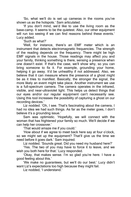'So, what we'll do is set up cameras in the rooms you've shown us as the hotspots.' Sam articulated.

'If you don't mind, we'd like to use the living room as the base-camp. It seems to be the quietest. Also, our other equipment will run too seeing if we can find reasons behind these events.' Lucy added.

'Such as what?'

'Well, for instance, there's an EMF meter which is an instrument that detects electromagnetic frequencies. The strength of the reading depends on the frequency. There might be high EMF signals in the house. Those readings may affect you and your family, thinking something is there, sensing a presence when one doesn't exist. If that's the case, we'll show why, so you can bring someone to fix it. For example, grounding your home, helping it go away. It'd be unhealthy if not addressed. Also, we believe that it can measure where the presence of a ghost might be as it tries to manifest. Basically, the stronger the signal, the more likely an event might take place. Another instrument we use is a full-spectrum camera. The camera operates in the infrared, visible, and near-ultraviolet light. This helps us detect things that our eyes and/or our regular equipment can't necessarily see. Using this tool increases the possibility of capturing a ghost on our recording devices.'

Liz nodded. 'Oh, I see. That's fascinating about the camera, I had no idea we had such things. As far as the meter goes, I don't believe it's a grounding issue.'

Sam was optimistic. 'Hopefully, we will connect with the woman that has frightened your family so much. We'll decide if we can help her crossover.'

'That would amaze me if you could.'

'How about if we agree to meet back here say at four o'clock, so we might set up the equipment? That'll give us the time we need before it goes dark.' Sam inquired.

Liz nodded. 'Sounds great. Did you need my husband here?'

'Yes. The two of you may have to force it to leave, and we wish you both here for that.' Lucy responded.

'Okay, that makes sense. I'm so glad you're here. I have a good feeling about this.'

'We make no guarantees, but we'll do our best.' Lucy didn't want Liz's expectations too high because they might fail.

Liz nodded, 'I understand.'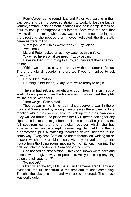Four o'clock came round, Liz, and Peter was waiting in their car. Lucy and Sam proceeded straight to work. Unloading Lucy's vehicle, setting up the camera locations and base-camp. It took an hour to set up photographic equipment. Sam was the one that always did the aiming while Lucy was at the computer telling her the directions she needed them moved. Adjusted, the five static cameras were rolling.

'Great job Sam! I think we're ready.' Lucy voiced.

'Awesome.'

Liz and Peter looked on as they watched this unfold.

'Okay, so here's what we need...' Lucy began.

Peter nudged Liz, turning to Lucy, so they kept their attention on her.

'While we do this, stay put and view those cameras for us. There is a digital recorder in there too if you're inspired to ask questions.'

He nodded. 'Will do.'

Rotating to her friend, 'Okay Sam, we're ready to begin.'

The sun had set, and twilight was upon them. The last rays of sunlight disappeared over the horizon as Lucy switched the lights off, the house went dark.

'Here we go.' Sam stated.

They began in the living room since everyone was in there. Lucy and Sam started by asking if anyone was there, pausing for a reaction which they weren't able to pick up with their own ears. Lucy walked around the place with her EMF meter looking for any sign that a fluctuation might happen. None came. She grabbed the full spectrum camera and a digital recorder which she had attached to her vest, so it kept documenting. Sam held onto the K2, a camcorder, plus a matching recording device, adhered in the same way. Every area Sam asked another question, waiting for an answer which they couldn't hear. As they moved through the house from the living room, moving to the kitchen, then into the hallway, into the bedrooms, Sam sensed no entity.

She noticed an observation. 'I think she knows we're here and doesn't want to give away her presence. Are you picking anything up on the full spectrum?'

'No not yet.'

Often when the K2, EMF meter, and cameras aren't capturing evidence, the full spectrum is the first one to spot something. Tonight, the absence of sound was being recorded. The house was eerily quiet.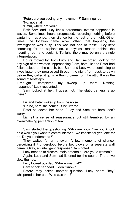'Peter, are you seeing any movement?' Sam inquired.

'No, not at all.'

'Hmm, where are you?'

Both Sam and Lucy knew paranormal events happened in waves. Sometimes hours progressed, recording nothing before capturing it at once, then silence for the rest of the night. Other times, the location came alive. When that happens, the investigation was busy. This was not one of those. Lucy kept searching for an explanation, a physical reason behind the haunting, but, she couldn't. Tonight, there may be only a single interpretation.

Hours moved by, both Lucy and Sam recorded, looking for any sign of the woman. Approaching 3 am, both Liz and Peter had fallen asleep on the couch, but, Sam and Lucy were continuing to investigate, they progressed through the night from dusk to dawn before they called it quits. A thump came from the attic. It was the sound of footsteps.

'I thought I completed my sweep up there. Nothing happened.' Lucy recounted.

Sam looked at her. 'I guess not. The static camera is up there.'

Liz and Peter woke up from the noise.

'Oh no, here she comes.' She uttered.

Peter squeezed her hand. 'Lucy and Sam are here, don't worry.'

Liz felt a sense of reassurance but still trembled by an overwhelming perception of fear.

Sam started the questioning. 'Who are you? Can you knock on a wall if you want to communicate? Two knocks for yes, one for no. Do you understand?'

They waited for an answer. A few moments of silence, perceiving if it understood before two blows on a separate wall came. 'Okay, an intelligent response.' Sam noted.

Lucy needed to discern, male or female. 'Are you a woman?'

Again, Lucy and Sam had listened for the sound. Then, two slow thumps.

Lucy looked puzzled. 'Where was that?'

Sam shook her head. 'I don't know.'

Before they asked another question, Lucy heard "hey" whispered in her ear. 'Who was that?'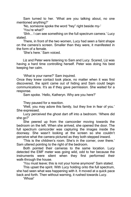Sam turned to her. 'What are you talking about, no one mentioned anything?'

'No, someone spoke the word "hey" right beside my-'

'You're what?'

'Shh... I can see something on the full spectrum camera.' Lucy stated.

There, in front of the two women, Lucy had seen a faint shape on the camera's screen. Smaller than they were, it manifested in the form of a female.

'She's here.' Sam voiced.

Liz and Peter were listening to Sam and Lucy. Scared, Liz was having a hard time controlling herself. Peter was doing his best keeping her calm.

'What is your name?' Sam inquired.

Once they knew contact took place, no matter when it was first discovered, the spirit came out of hiding and Sam could begin communications. It's as if they gave permission. She waited for a response.

Sam spoke. 'Hello, Katheryn. Why are you here?'

They paused for a reaction.

'Well, you may adore this family, but they live in fear of you.' She expressed.

Lucy perceived the ghost dart off into a bedroom. 'Where did she go?'

She peered up from the camcorder moving towards the bedroom on the left. When she arrived, she opened the door. The full spectrum camcorder was capturing the images inside the doorway. She wasn't looking at the screen so she couldn't perceive what the camera pictured as they both stepped inward.

'This is the children's room. She's in the corner, over there.' Sam uttered pointing to the right of the bedroom.

Both pointed their cameras to the same location. Lucy detected the EMF meter was going wild, odd to her because the instruments were silent when they first performed their walk-through the house.

'You must leave; this is not your home anymore!' Sam stated.

This upset the spirit. With Lucy holding onto the full spectrum, she had seen what was happening with it. It moved at a quick pace back and forth. Then without warning, it rushed towards Lucy.

'Whoa!'